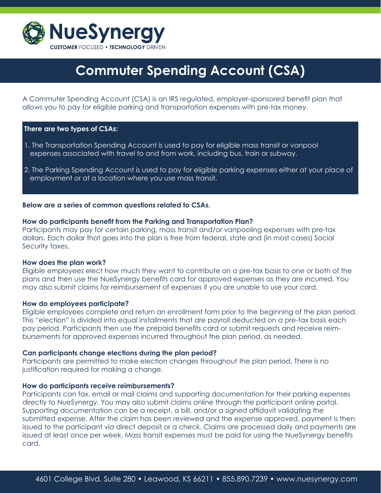

# **Commuter Spending Account (CSA)**

A Commuter Spending Account (CSA) is an IRS regulated, employer-sponsored benefit plan that allows you to pay for eligible parking and transportation expenses with pre-tax money.

## **There are two types of CSAs:**

- 1. The Transportation Spending Account is used to pay for eligible mass transit or vanpool expenses associated with travel to and from work, including bus, train or subway.
- 2. The Parking Spending Account is used to pay for eligible parking expenses either at your place of employment or at a location where you use mass transit.

## **Below are a series of common questions related to CSAs.**

#### **How do participants benefit from the Parking and Transportation Plan?**

Participants may pay for certain parking, mass transit and/or vanpooling expenses with pre-tax dollars. Each dollar that goes into the plan is free from federal, state and (in most cases) Social Security taxes.

#### **How does the plan work?**

Eligible employees elect how much they want to contribute on a pre-tax basis to one or both of the plans and then use the NueSynergy benefits card for approved expenses as they are incurred. You may also submit claims for reimbursement of expenses if you are unable to use your card.

#### **How do employees participate?**

Eligible employees complete and return an enrollment form prior to the beginning of the plan period. This "election" is divided into equal installments that are payroll deducted on a pre-tax basis each pay period. Participants then use the prepaid benefits card or submit requests and receive reimbursements for approved expenses incurred throughout the plan period, as needed.

### **Can participants change elections during the plan period?**

Participants are permitted to make election changes throughout the plan period. There is no justification required for making a change.

#### **How do participants receive reimbursements?**

Participants can fax, email or mail claims and supporting documentation for their parking expenses directly to NueSynergy. You may also submit claims online through the participant online portal. Supporting documentation can be a receipt, a bill, and/or a signed affidavit validating the submitted expense. After the claim has been reviewed and the expense approved, payment is then issued to the participant via direct deposit or a check. Claims are processed daily and payments are issued at least once per week. Mass transit expenses must be paid for using the NueSynergy benefits card.